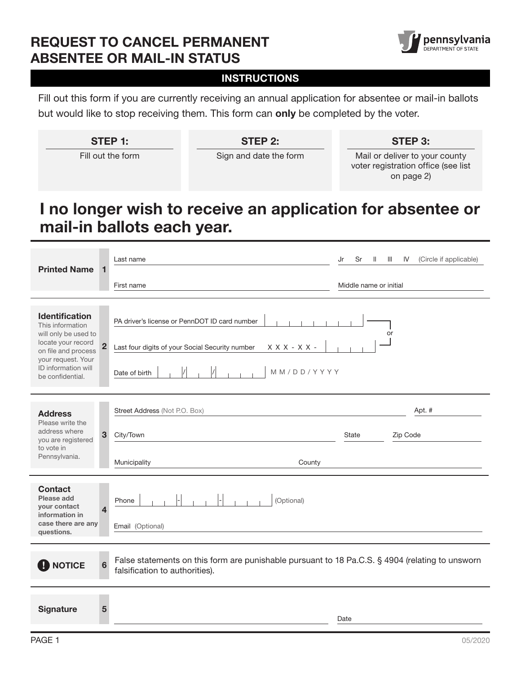## REQUEST TO CANCEL PERMANENT ABSENTEE OR MAIL-IN STATUS



### **INSTRUCTIONS**

Fill out this form if you are currently receiving an annual application for absentee or mail-in ballots but would like to stop receiving them. This form can only be completed by the voter.

| STEP 1:           | STEP 2:                | STEP 3:                        |  |
|-------------------|------------------------|--------------------------------|--|
| Fill out the form | Sign and date the form | Mail or deliver to your county |  |

voter registration office (see list on page 2)

# I no longer wish to receive an application for absentee or mail-in ballots each year.

| <b>Printed Name</b>                                                                                                                                                      | 1                       | Last name                                                                                                                                                  | Jr<br>Sr<br>Ш<br>H.    | (Circle if applicable)<br>IV |
|--------------------------------------------------------------------------------------------------------------------------------------------------------------------------|-------------------------|------------------------------------------------------------------------------------------------------------------------------------------------------------|------------------------|------------------------------|
|                                                                                                                                                                          |                         | First name                                                                                                                                                 | Middle name or initial |                              |
| Identification<br>This information<br>will only be used to<br>locate your record<br>on file and process<br>your request. Your<br>ID information will<br>be confidential. | $\overline{\mathbf{2}}$ | PA driver's license or PennDOT ID card number<br>$X$ $X$ $X$ - $X$ $X$ -<br>Last four digits of your Social Security number<br>MM/DD/YYYY<br>Date of birth | or                     |                              |
| <b>Address</b><br>Please write the<br>address where<br>you are registered<br>to vote in<br>Pennsylvania.                                                                 | 3 <sup>5</sup>          | Street Address (Not P.O. Box)<br>City/Town<br>Municipality<br>County                                                                                       | State                  | Apt. #<br>Zip Code           |
| <b>Contact</b><br>Please add<br>your contact<br>information in<br>case there are any<br>questions.                                                                       | 4                       | (Optional)<br>Phone<br>Email (Optional)                                                                                                                    |                        |                              |
| False statements on this form are punishable pursuant to 18 Pa.C.S. § 4904 (relating to unsworn<br><b>NOTICE</b><br>6<br>falsification to authorities).                  |                         |                                                                                                                                                            |                        |                              |
| <b>Signature</b>                                                                                                                                                         | 5                       |                                                                                                                                                            | Date                   |                              |